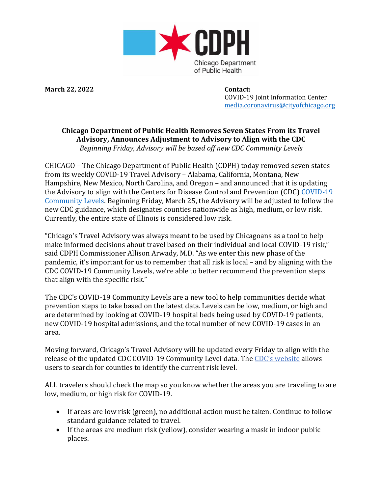

**March 22, 2022 Contact:**

COVID-19 Joint Information Center [media.coronavirus@cityofchicago.org](mailto:media.coronavirus@cityofchicago.org)

## **Chicago Department of Public Health Removes Seven States From its Travel Advisory, Announces Adjustment to Advisory to Align with the CDC** *Beginning Friday, Advisory will be based off new CDC Community Levels*

CHICAGO – The Chicago Department of Public Health (CDPH) today removed seven states from its weekly COVID-19 Travel Advisory – Alabama, California, Montana, New Hampshire, New Mexico, North Carolina, and Oregon – and announced that it is updating the Advisory to align with the Centers for Disease Control and Prevention (CDC) [COVID-19](https://www.cdc.gov/coronavirus/2019-ncov/your-health/covid-by-county.html?CDC_AA_refVal=https%3A%2F%2Fwww.cdc.gov%2Fcoronavirus%2F2019-ncov%2Fscience%2Fcommunity-levels-county-map.html) [Community](https://www.cdc.gov/coronavirus/2019-ncov/your-health/covid-by-county.html?CDC_AA_refVal=https%3A%2F%2Fwww.cdc.gov%2Fcoronavirus%2F2019-ncov%2Fscience%2Fcommunity-levels-county-map.html) Levels. Beginning Friday, March 25, the Advisory will be adjusted to follow the new CDC guidance, which designates counties nationwide as high, medium, or low risk. Currently, the entire state of Illinois is considered low risk.

"Chicago's Travel Advisory was always meant to be used by Chicagoans as a tool to help make informed decisions about travel based on their individual and local COVID-19 risk," said CDPH Commissioner Allison Arwady, M.D. "As we enter this new phase of the pandemic, it's important for us to remember that all risk is local – and by aligning with the CDC COVID-19 Community Levels, we're able to better recommend the prevention steps that align with the specific risk."

The CDC's COVID-19 Community Levels are a new tool to help communities decide what prevention steps to take based on the latest data. Levels can be low, medium, or high and are determined by looking at COVID-19 hospital beds being used by COVID-19 patients, new COVID-19 hospital admissions, and the total number of new COVID-19 cases in an area.

Moving forward, Chicago's Travel Advisory will be updated every Friday to align with the release of the updated CDC COVID-19 Community Level data. The [CDC's w](http://www.cdc.gov/coronavirus/2019-ncov/science/community-levels-county-map.html)ebsite allows users to search for counties to identify the current risk level.

ALL travelers should check the map so you know whether the areas you are traveling to are low, medium, or high risk for COVID-19.

- If areas are low risk (green), no additional action must be taken. Continue to follow standard guidance related to travel.
- If the areas are medium risk (yellow), consider wearing a mask in indoor public places.